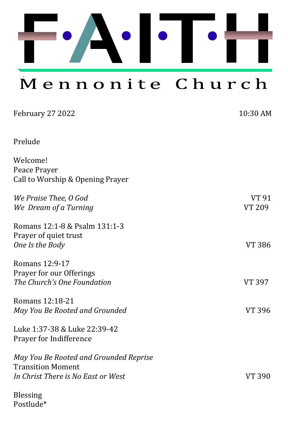

Mennonite Church

| February 27 2022                                 | 10:30 AM      |
|--------------------------------------------------|---------------|
| Prelude                                          |               |
| Welcome!                                         |               |
| Peace Prayer<br>Call to Worship & Opening Prayer |               |
| We Praise Thee, O God                            | VT 91         |
| We Dream of a Turning                            | <b>VT 209</b> |
| Romans 12:1-8 & Psalm 131:1-3                    |               |
| Prayer of quiet trust<br>One Is the Body         | <b>VT 386</b> |
| Romans 12:9-17                                   |               |
| Prayer for our Offerings                         |               |
| The Church's One Foundation                      | VT 397        |
| Romans 12:18-21                                  |               |
| May You Be Rooted and Grounded                   | VT 396        |
| Luke 1:37-38 & Luke 22:39-42                     |               |
| Prayer for Indifference                          |               |
| May You Be Rooted and Grounded Reprise           |               |
| <b>Transition Moment</b>                         |               |
| In Christ There is No East or West               | <b>VT 390</b> |
| <b>Blessing</b>                                  |               |
|                                                  |               |

Postlude\*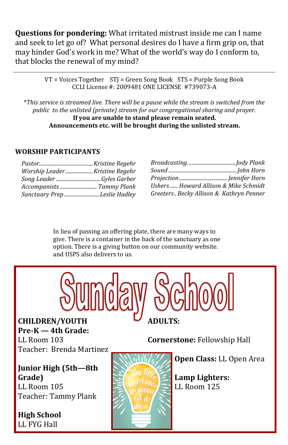**Questions for pondering:** What irritated mistrust inside me can I name and seek to let go of? What personal desires do I have a firm grip on, that may hinder God's work in me? What of the world's way do I conform to, that blocks the renewal of my mind?

> VT = Voices Together STJ = Green Song Book STS = Purple Song Book CCLI License #: 2009481 ONE LICENSE #739073-A

\**This service is streamed live. There will be a pause while the stream is switched from the public to the unlisted (private) stream for our congregational sharing and prayer.*  **If you are unable to stand please remain seated. Announcements etc. will be brought during the unlisted stream.**

#### **WORSHIP PARTICIPANTS**

| Sanctuary PrepLeslie Hadley |
|-----------------------------|
|                             |

| Ushers  Howard Allison & Mike Schmidt   |  |
|-----------------------------------------|--|
| Greeters Becky Allison & Kathryn Penner |  |

In lieu of passing an offering plate, there are many ways to give. There is a container in the back of the sanctuary as one option. There is a giving button on our community website. and USPS also delivers to us.



**CHILDREN/YOUTH Pre-K — 4th Grade:**  LL Room 103 Teacher: Brenda Martinez

**Junior High (5th—8th Grade)** LL Room 105 Teacher: Tammy Plank

**High School**  LL FYG Hall



**Open Class:** LL Open Area

**Lamp Lighters:**  LL Room 125

**Cornerstone:** Fellowship Hall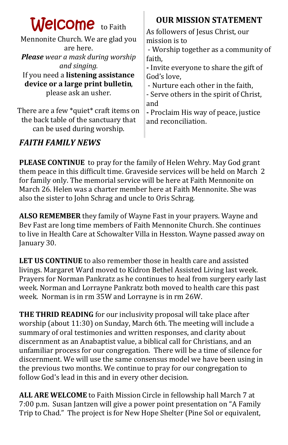| <b>Welcome</b> to Faith<br>Mennonite Church. We are glad you<br>are here.<br><b>Please</b> wear a mask during worship<br>and singing.<br>If you need a listening assistance<br>device or a large print bulletin,<br>please ask an usher.<br>There are a few *quiet* craft items on<br>the back table of the sanctuary that | <b>OUR MISSION STATEMENT</b><br>As followers of Jesus Christ, our<br>mission is to<br>- Worship together as a community of<br>faith,<br>- Invite everyone to share the gift of<br>God's love.<br>- Nurture each other in the faith,<br>- Serve others in the spirit of Christ,<br>and<br>- Proclaim His way of peace, justice<br>and reconciliation. |
|----------------------------------------------------------------------------------------------------------------------------------------------------------------------------------------------------------------------------------------------------------------------------------------------------------------------------|------------------------------------------------------------------------------------------------------------------------------------------------------------------------------------------------------------------------------------------------------------------------------------------------------------------------------------------------------|
| can be used during worship.                                                                                                                                                                                                                                                                                                |                                                                                                                                                                                                                                                                                                                                                      |
|                                                                                                                                                                                                                                                                                                                            |                                                                                                                                                                                                                                                                                                                                                      |

### *FAITH FAMILY NEWS*

**PLEASE CONTINUE** to pray for the family of Helen Wehry. May God grant them peace in this difficult time. Graveside services will be held on March 2 for family only. The memorial service will be here at Faith Mennonite on March 26. Helen was a charter member here at Faith Mennonite. She was also the sister to John Schrag and uncle to Oris Schrag.

**ALSO REMEMBER** they family of Wayne Fast in your prayers. Wayne and Bev Fast are long time members of Faith Mennonite Church. She continues to live in Health Care at Schowalter Villa in Hesston. Wayne passed away on January 30.

**LET US CONTINUE** to also remember those in health care and assisted livings. Margaret Ward moved to Kidron Bethel Assisted Living last week. Prayers for Norman Pankratz as he continues to heal from surgery early last week. Norman and Lorrayne Pankratz both moved to health care this past week. Norman is in rm 35W and Lorrayne is in rm 26W.

**THE THRID READING** for our inclusivity proposal will take place after worship (about 11:30) on Sunday, March 6th. The meeting will include a summary of oral testimonies and written responses, and clarity about discernment as an Anabaptist value, a biblical call for Christians, and an unfamiliar process for our congregation. There will be a time of silence for discernment. We will use the same consensus model we have been using in the previous two months. We continue to pray for our congregation to follow God's lead in this and in every other decision.

**ALL ARE WELCOME** to Faith Mission Circle in fellowship hall March 7 at 7:00 p.m. Susan Jantzen will give a power point presentation on "A Family Trip to Chad." The project is for New Hope Shelter (Pine Sol or equivalent,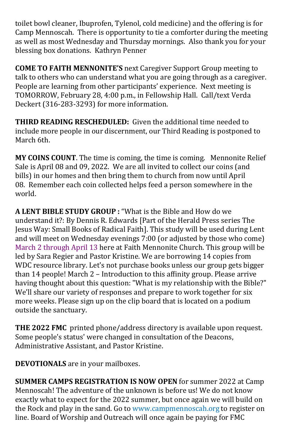toilet bowl cleaner, Ibuprofen, Tylenol, cold medicine) and the offering is for Camp Mennoscah. There is opportunity to tie a comforter during the meeting as well as most Wednesday and Thursday mornings. Also thank you for your blessing box donations. Kathryn Penner

**COME TO FAITH MENNONITE'S** next Caregiver Support Group meeting to talk to others who can understand what you are going through as a caregiver. People are learning from other participants' experience. Next meeting is TOMORROW, February 28, 4:00 p.m., in Fellowship Hall. Call/text Verda Deckert (316-283-3293) for more information.

**THIRD READING RESCHEDULED:** Given the additional time needed to include more people in our discernment, our Third Reading is postponed to March 6th.

**MY COINS COUNT**. The time is coming, the time is coming. Mennonite Relief Sale is April 08 and 09, 2022. We are all invited to collect our coins (and bills) in our homes and then bring them to church from now until April 08. Remember each coin collected helps feed a person somewhere in the world.

**A LENT BIBLE STUDY GROUP :** "What is the Bible and How do we understand it?: By Dennis R. Edwards [Part of the Herald Press series The Jesus Way: Small Books of Radical Faith]. This study will be used during Lent and will meet on Wednesday evenings 7:00 (or adjusted by those who come) March 2 through April 13 here at Faith Mennonite Church. This group will be led by Sara Regier and Pastor Kristine. We are borrowing 14 copies from WDC resource library. Let's not purchase books unless our group gets bigger than 14 people! March 2 – Introduction to this affinity group. Please arrive having thought about this question: "What is my relationship with the Bible?" We'll share our variety of responses and prepare to work together for six more weeks. Please sign up on the clip board that is located on a podium outside the sanctuary.

**THE 2022 FMC** printed phone/address directory is available upon request. Some people's status' were changed in consultation of the Deacons, Administrative Assistant, and Pastor Kristine.

**DEVOTIONALS** are in your mailboxes.

**SUMMER CAMPS REGISTRATION IS NOW OPEN** for summer 2022 at Camp Mennoscah! The adventure of the unknown is before us! We do not know exactly what to expect for the 2022 summer, but once again we will build on the Rock and play in the sand. Go to www.campmennoscah.org to register on line. Board of Worship and Outreach will once again be paying for FMC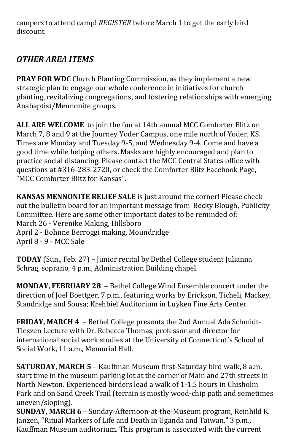campers to attend camp! *REGISTER* before March 1 to get the early bird discount.

## *OTHER AREA ITEMS*

**PRAY FOR WDC** Church Planting Commission, as they implement a new strategic plan to engage our whole conference in initiatives for church planting, revitalizing congregations, and fostering relationships with emerging Anabaptist/Mennonite groups.

**ALL ARE WELCOME** to join the fun at 14th annual MCC Comforter Blitz on March 7, 8 and 9 at the Journey Yoder Campus, one mile north of Yoder, KS. Times are Monday and Tuesday 9-5, and Wednesday 9-4. Come and have a good time while helping others. Masks are highly encouraged and plan to practice social distancing. Please contact the MCC Central States office with questions at #316-283-2720, or check the Comforter Blitz Facebook Page, "MCC Comforter Blitz for Kansas".

**KANSAS MENNONITE RELIEF SALE** is just around the corner! Please check out the bulletin board for an important message from Becky Blough, Publicity Committee. Here are some other important dates to be reminded of: March 26 - Verenike Making, Hillsboro April 2 - Bohnne Berroggi making, Moundridge April 8 - 9 - MCC Sale

**TODAY** (Sun., Feb. 27) – Junior recital by Bethel College student Julianna Schrag, soprano, 4 p.m., Administration Building chapel.

**MONDAY, FEBRUARY 28** – Bethel College Wind Ensemble concert under the direction of Joel Boettger, 7 p.m., featuring works by Erickson, Ticheli, Mackey, Standridge and Sousa; Krehbiel Auditorium in Luyken Fine Arts Center.

**FRIDAY, MARCH 4** – Bethel College presents the 2nd Annual Ada Schmidt-Tieszen Lecture with Dr. Rebecca Thomas, professor and director for international social work studies at the University of Connecticut's School of Social Work, 11 a.m., Memorial Hall.

**SATURDAY, MARCH 5** – Kauffman Museum first-Saturday bird walk, 8 a.m. start time in the museum parking lot at the corner of Main and 27th streets in North Newton. Experienced birders lead a walk of 1-1.5 hours in Chisholm Park and on Sand Creek Trail (terrain is mostly wood-chip path and sometimes uneven/sloping).

**SUNDAY, MARCH 6** – Sunday-Afternoon-at-the-Museum program, Reinhild K. Janzen, "Ritual Markers of Life and Death in Uganda and Taiwan," 3 p.m., Kauffman Museum auditorium. This program is associated with the current